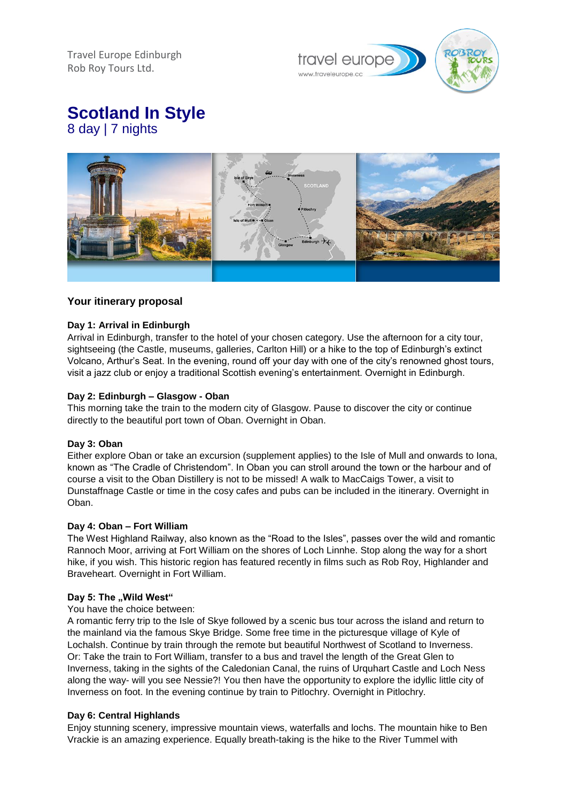Travel Europe Edinburgh Rob Roy Tours Ltd.



**Scotland In Style** 8 day | 7 nights



# **Your itinerary proposal**

## **Day 1: Arrival in Edinburgh**

Arrival in Edinburgh, transfer to the hotel of your chosen category. Use the afternoon for a city tour, sightseeing (the Castle, museums, galleries, Carlton Hill) or a hike to the top of Edinburgh's extinct Volcano, Arthur's Seat. In the evening, round off your day with one of the city's renowned ghost tours, visit a jazz club or enjoy a traditional Scottish evening's entertainment. Overnight in Edinburgh.

## **Day 2: Edinburgh – Glasgow - Oban**

This morning take the train to the modern city of Glasgow. Pause to discover the city or continue directly to the beautiful port town of Oban. Overnight in Oban.

### **Day 3: Oban**

Either explore Oban or take an excursion (supplement applies) to the Isle of Mull and onwards to Iona, known as "The Cradle of Christendom". In Oban you can stroll around the town or the harbour and of course a visit to the Oban Distillery is not to be missed! A walk to MacCaigs Tower, a visit to Dunstaffnage Castle or time in the cosy cafes and pubs can be included in the itinerary. Overnight in Oban.

#### **Day 4: Oban – Fort William**

The West Highland Railway, also known as the "Road to the Isles", passes over the wild and romantic Rannoch Moor, arriving at Fort William on the shores of Loch Linnhe. Stop along the way for a short hike, if you wish. This historic region has featured recently in films such as Rob Roy, Highlander and Braveheart. Overnight in Fort William.

#### Day 5: The "Wild West"

#### You have the choice between:

A romantic ferry trip to the Isle of Skye followed by a scenic bus tour across the island and return to the mainland via the famous Skye Bridge. Some free time in the picturesque village of Kyle of Lochalsh. Continue by train through the remote but beautiful Northwest of Scotland to Inverness. Or: Take the train to Fort William, transfer to a bus and travel the length of the Great Glen to Inverness, taking in the sights of the Caledonian Canal, the ruins of Urquhart Castle and Loch Ness along the way- will you see Nessie?! You then have the opportunity to explore the idyllic little city of Inverness on foot. In the evening continue by train to Pitlochry. Overnight in Pitlochry.

### **Day 6: Central Highlands**

Enjoy stunning scenery, impressive mountain views, waterfalls and lochs. The mountain hike to Ben Vrackie is an amazing experience. Equally breath-taking is the hike to the River Tummel with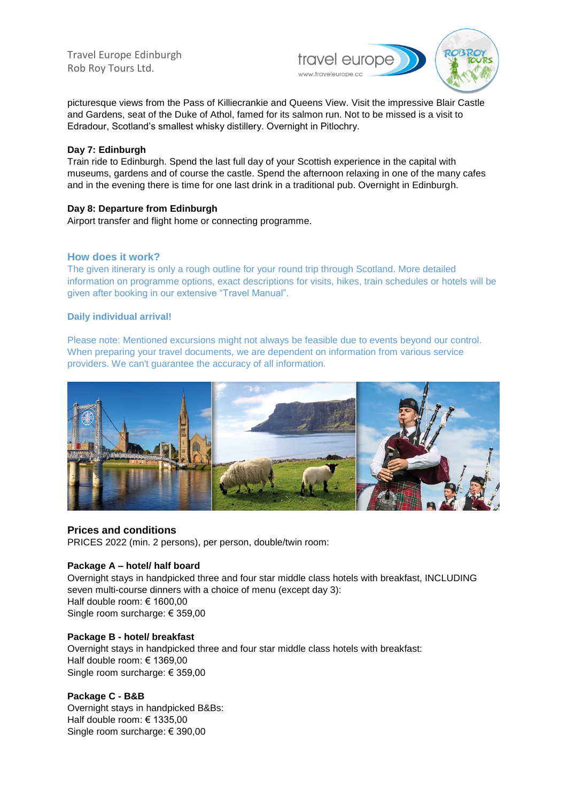Travel Europe Edinburgh Rob Roy Tours Ltd.



picturesque views from the Pass of Killiecrankie and Queens View. Visit the impressive Blair Castle and Gardens, seat of the Duke of Athol, famed for its salmon run. Not to be missed is a visit to Edradour, Scotland's smallest whisky distillery. Overnight in Pitlochry.

## **Day 7: Edinburgh**

Train ride to Edinburgh. Spend the last full day of your Scottish experience in the capital with museums, gardens and of course the castle. Spend the afternoon relaxing in one of the many cafes and in the evening there is time for one last drink in a traditional pub. Overnight in Edinburgh.

# **Day 8: Departure from Edinburgh**

Airport transfer and flight home or connecting programme.

# **How does it work?**

The given itinerary is only a rough outline for your round trip through Scotland. More detailed information on programme options, exact descriptions for visits, hikes, train schedules or hotels will be given after booking in our extensive "Travel Manual".

## **Daily individual arrival!**

Please note: Mentioned excursions might not always be feasible due to events beyond our control. When preparing your travel documents, we are dependent on information from various service providers. We can't guarantee the accuracy of all information.



# **Prices and conditions**

PRICES 2022 (min. 2 persons), per person, double/twin room:

### **Package A – hotel/ half board**

Overnight stays in handpicked three and four star middle class hotels with breakfast, INCLUDING seven multi-course dinners with a choice of menu (except day 3): Half double room: € 1600,00 Single room surcharge: € 359,00

### **Package B - hotel/ breakfast**

Overnight stays in handpicked three and four star middle class hotels with breakfast: Half double room: € 1369,00 Single room surcharge: € 359,00

## **Package C - B&B**

Overnight stays in handpicked B&Bs: Half double room: € 1335,00 Single room surcharge: € 390,00